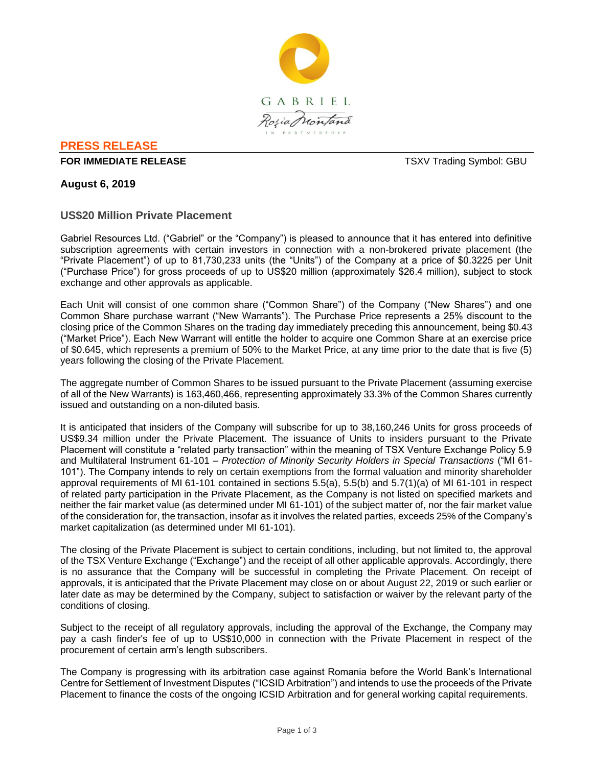

# **PRESS RELEASE**

#### **FOR IMMEDIATE RELEASE** THE STATE REAL SERVICE SERVICES AND TO THE SERVICES OF THE SERVICES OF THE SERVICE SERVICES SERVICES AND THE SERVICES OF THE SERVICES OF THE SERVICES OF THE SERVICES OF THE SERVICES OF THE SERVICES

**August 6, 2019**

## **US\$20 Million Private Placement**

Gabriel Resources Ltd. ("Gabriel" or the "Company") is pleased to announce that it has entered into definitive subscription agreements with certain investors in connection with a non-brokered private placement (the "Private Placement") of up to 81,730,233 units (the "Units") of the Company at a price of \$0.3225 per Unit ("Purchase Price") for gross proceeds of up to US\$20 million (approximately \$26.4 million), subject to stock exchange and other approvals as applicable.

Each Unit will consist of one common share ("Common Share") of the Company ("New Shares") and one Common Share purchase warrant ("New Warrants"). The Purchase Price represents a 25% discount to the closing price of the Common Shares on the trading day immediately preceding this announcement, being \$0.43 ("Market Price"). Each New Warrant will entitle the holder to acquire one Common Share at an exercise price of \$0.645, which represents a premium of 50% to the Market Price, at any time prior to the date that is five (5) years following the closing of the Private Placement.

The aggregate number of Common Shares to be issued pursuant to the Private Placement (assuming exercise of all of the New Warrants) is 163,460,466, representing approximately 33.3% of the Common Shares currently issued and outstanding on a non-diluted basis.

It is anticipated that insiders of the Company will subscribe for up to 38,160,246 Units for gross proceeds of US\$9.34 million under the Private Placement. The issuance of Units to insiders pursuant to the Private Placement will constitute a "related party transaction" within the meaning of TSX Venture Exchange Policy 5.9 and Multilateral Instrument 61-101 – *Protection of Minority Security Holders in Special Transactions* ("MI 61- 101"). The Company intends to rely on certain exemptions from the formal valuation and minority shareholder approval requirements of MI 61-101 contained in sections 5.5(a), 5.5(b) and 5.7(1)(a) of MI 61-101 in respect of related party participation in the Private Placement, as the Company is not listed on specified markets and neither the fair market value (as determined under MI 61-101) of the subject matter of, nor the fair market value of the consideration for, the transaction, insofar as it involves the related parties, exceeds 25% of the Company's market capitalization (as determined under MI 61-101).

The closing of the Private Placement is subject to certain conditions, including, but not limited to, the approval of the TSX Venture Exchange ("Exchange") and the receipt of all other applicable approvals. Accordingly, there is no assurance that the Company will be successful in completing the Private Placement. On receipt of approvals, it is anticipated that the Private Placement may close on or about August 22, 2019 or such earlier or later date as may be determined by the Company, subject to satisfaction or waiver by the relevant party of the conditions of closing.

Subject to the receipt of all regulatory approvals, including the approval of the Exchange, the Company may pay a cash finder's fee of up to US\$10,000 in connection with the Private Placement in respect of the procurement of certain arm's length subscribers.

The Company is progressing with its arbitration case against Romania before the World Bank's International Centre for Settlement of Investment Disputes ("ICSID Arbitration") and intends to use the proceeds of the Private Placement to finance the costs of the ongoing ICSID Arbitration and for general working capital requirements.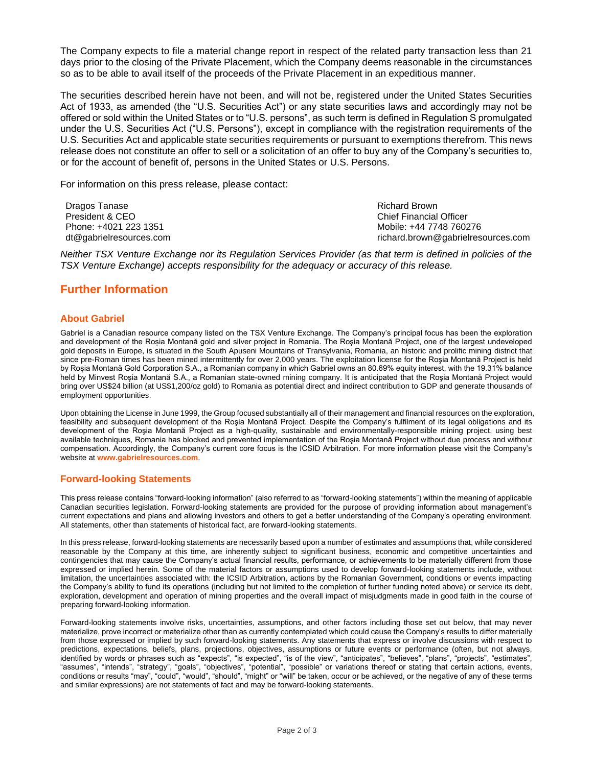The Company expects to file a material change report in respect of the related party transaction less than 21 days prior to the closing of the Private Placement, which the Company deems reasonable in the circumstances so as to be able to avail itself of the proceeds of the Private Placement in an expeditious manner.

The securities described herein have not been, and will not be, registered under the United States Securities Act of 1933, as amended (the "U.S. Securities Act") or any state securities laws and accordingly may not be offered or sold within the United States or to "U.S. persons", as such term is defined in Regulation S promulgated under the U.S. Securities Act ("U.S. Persons"), except in compliance with the registration requirements of the U.S. Securities Act and applicable state securities requirements or pursuant to exemptions therefrom. This news release does not constitute an offer to sell or a solicitation of an offer to buy any of the Company's securities to, or for the account of benefit of, persons in the United States or U.S. Persons.

For information on this press release, please contact:

Dragos Tanase President & CEO Phone: +4021 223 1351 dt@gabrielresources.com Richard Brown Chief Financial Officer Mobile: +44 7748 760276 richard.brown@gabrielresources.com

*Neither TSX Venture Exchange nor its Regulation Services Provider (as that term is defined in policies of the TSX Venture Exchange) accepts responsibility for the adequacy or accuracy of this release.*

# **Further Information**

## **About Gabriel**

Gabriel is a Canadian resource company listed on the TSX Venture Exchange. The Company's principal focus has been the exploration and development of the Roșia Montană gold and silver project in Romania. The Roşia Montană Project, one of the largest undeveloped gold deposits in Europe, is situated in the South Apuseni Mountains of Transylvania, Romania, an historic and prolific mining district that since pre-Roman times has been mined intermittently for over 2,000 years. The exploitation license for the Roşia Montană Project is held by Roșia Montană Gold Corporation S.A., a Romanian company in which Gabriel owns an 80.69% equity interest, with the 19.31% balance held by Minvest Roșia Montană S.A., a Romanian state-owned mining company. It is anticipated that the Roşia Montană Project would bring over US\$24 billion (at US\$1,200/oz gold) to Romania as potential direct and indirect contribution to GDP and generate thousands of employment opportunities.

Upon obtaining the License in June 1999, the Group focused substantially all of their management and financial resources on the exploration, feasibility and subsequent development of the Roşia Montană Project. Despite the Company's fulfilment of its legal obligations and its development of the Roşia Montană Project as a high-quality, sustainable and environmentally-responsible mining project, using best available techniques, Romania has blocked and prevented implementation of the Roşia Montană Project without due process and without compensation. Accordingly, the Company's current core focus is the ICSID Arbitration. For more information please visit the Company's website at **www.gabrielresources.com**.

### **Forward-looking Statements**

This press release contains "forward-looking information" (also referred to as "forward-looking statements") within the meaning of applicable Canadian securities legislation. Forward-looking statements are provided for the purpose of providing information about management's current expectations and plans and allowing investors and others to get a better understanding of the Company's operating environment. All statements, other than statements of historical fact, are forward-looking statements.

In this press release, forward-looking statements are necessarily based upon a number of estimates and assumptions that, while considered reasonable by the Company at this time, are inherently subject to significant business, economic and competitive uncertainties and contingencies that may cause the Company's actual financial results, performance, or achievements to be materially different from those expressed or implied herein. Some of the material factors or assumptions used to develop forward-looking statements include, without limitation, the uncertainties associated with: the ICSID Arbitration, actions by the Romanian Government, conditions or events impacting the Company's ability to fund its operations (including but not limited to the completion of further funding noted above) or service its debt, exploration, development and operation of mining properties and the overall impact of misjudgments made in good faith in the course of preparing forward-looking information.

Forward-looking statements involve risks, uncertainties, assumptions, and other factors including those set out below, that may never materialize, prove incorrect or materialize other than as currently contemplated which could cause the Company's results to differ materially from those expressed or implied by such forward-looking statements. Any statements that express or involve discussions with respect to predictions, expectations, beliefs, plans, projections, objectives, assumptions or future events or performance (often, but not always, identified by words or phrases such as "expects", "is expected", "is of the view", "anticipates", "believes", "plans", "projects", "estimates", "assumes", "intends", "strategy", "goals", "objectives", "potential", "possible" or variations thereof or stating that certain actions, events, conditions or results "may", "could", "would", "should", "might" or "will" be taken, occur or be achieved, or the negative of any of these terms and similar expressions) are not statements of fact and may be forward-looking statements.